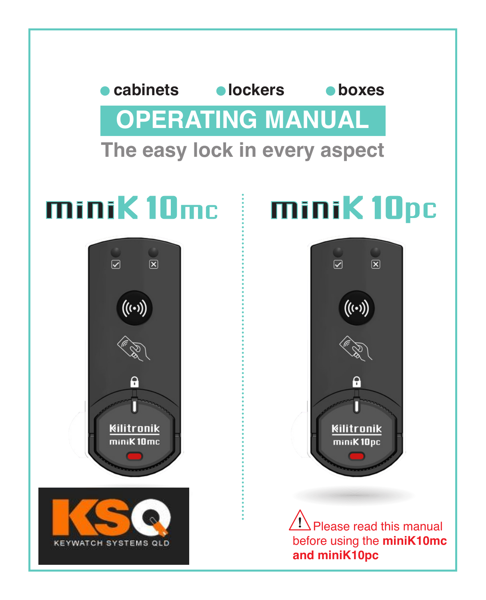# **The easy lock in every aspect OPERATING MANUAL cabinets lockers boxes**



# minik10mc minik10pc



 Please read this manual before using the **miniK10mc and miniK10pc**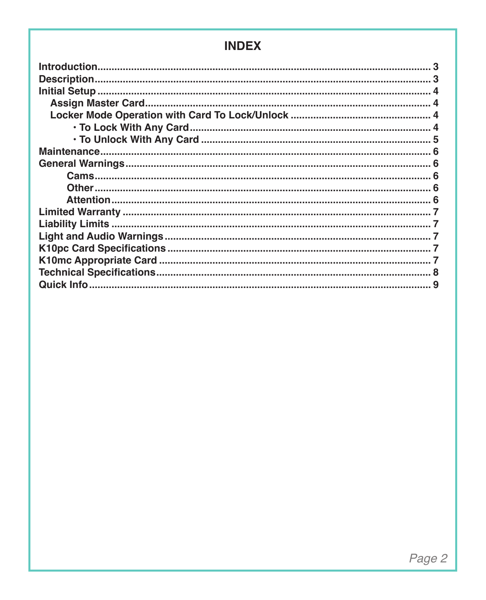### **INDEX**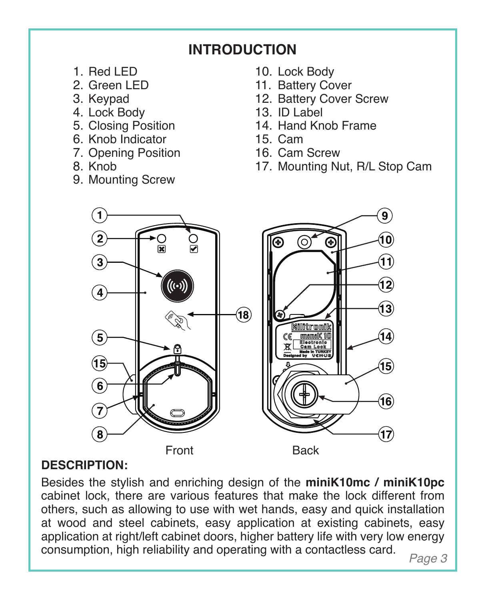### **INTRODUCTION**

- 1. Red LED
- 2. Green LED
- 3. Keypad
- 4. Lock Body
- 5. Closing Position
- 6. Knob Indicator
- 7. Opening Position
- 8. Knob
- 9. Mounting Screw
- 10. Lock Body
- 11. Battery Cover
- 12. Battery Cover Screw
- 13. ID Label
- 14. Hand Knob Frame
- 15. Cam
- 16. Cam Screw
- 17. Mounting Nut, R/L Stop Cam



### **DESCRIPTION:**

Besides the stylish and enriching design of the **miniK10mc / miniK10pc** cabinet lock, there are various features that make the lock different from others, such as allowing to use with wet hands, easy and quick installation at wood and steel cabinets, easy application at existing cabinets, easy application at right/left cabinet doors, higher battery life with very low energy consumption, high reliability and operating with a contactless card.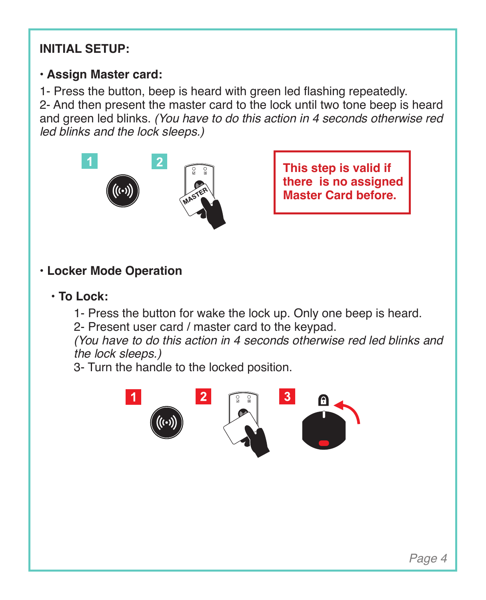### **INITIAL SETUP:**

### **• Assign Master card:**

1- Press the button, beep is heard with green led flashing repeatedly. 2- And then present the master card to the lock until two tone beep is heard and green led blinks. *(You have to do this action in 4 seconds otherwise red led blinks and the lock sleeps.)*



**This step is valid if there is no assigned Master Card before.**

### **• Locker Mode Operation**

- **To Lock:**
	- 1- Press the button for wake the lock up. Only one beep is heard.
	- 2- Present user card / master card to the keypad.

*(You have to do this action in 4 seconds otherwise red led blinks and the lock sleeps.)*

3- Turn the handle to the locked position.

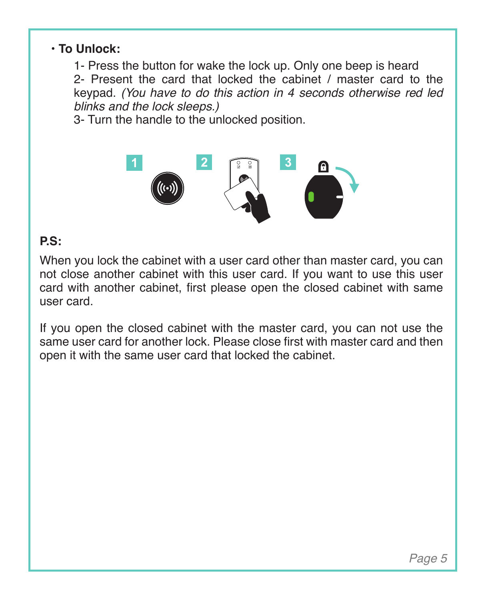### **• To Unlock:**

1- Press the button for wake the lock up. Only one beep is heard 2- Present the card that locked the cabinet / master card to the keypad. *(You have to do this action in 4 seconds otherwise red led blinks and the lock sleeps.)*

3- Turn the handle to the unlocked position.



### **P.S:**

When you lock the cabinet with a user card other than master card, you can not close another cabinet with this user card. If you want to use this user card with another cabinet, first please open the closed cabinet with same user card.

If you open the closed cabinet with the master card, you can not use the same user card for another lock. Please close first with master card and then open it with the same user card that locked the cabinet.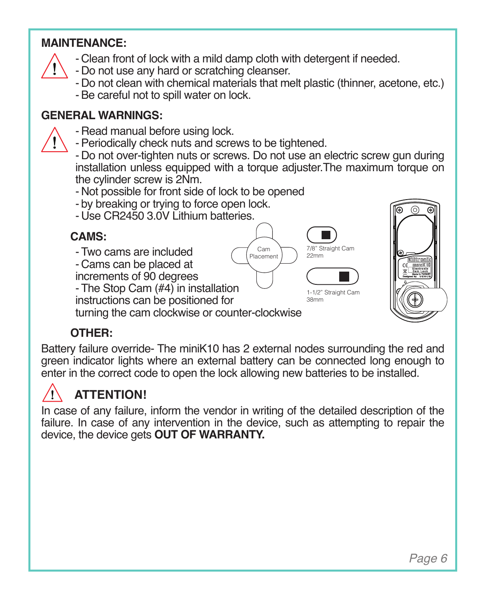### **MAINTENANCE:**

- Clean front of lock with a mild damp cloth with detergent if needed.
- Do not use any hard or scratching cleanser.
- Do not clean with chemical materials that melt plastic (thinner, acetone, etc.)
- -Be careful not to spill water on lock.

### **GENERAL WARNINGS:**

- Read manual before using lock.
- Periodically check nuts and screws to be tightened.
- Do not over-tighten nuts or screws. Do not use an electric screw gun during installation unless equipped with a torque adjuster.The maximum torque on the cylinder screw is 2Nm.

Cam Placement

7/8" Straight Cam 22mm 1-1/2" Straight Car 38mm

- Not possible for front side of lock to be opened
- by breaking or trying to force open lock.
- Use CR2450 3.0V Lithium batteries.

### **CAMS:**

- Two cams are included
- Cams can be placed at
- increments of 90 degrees
- The Stop Cam (#4) in installation
- instructions can be positioned for

turning the cam clockwise or counter-clockwise

### **OTHER:**

Battery failure override- The miniK10 has 2 external nodes surrounding the red and green indicator lights where an external battery can be connected long enough to enter in the correct code to open the lock allowing new batteries to be installed.

### **ATTENTION!**

In case of any failure, inform the vendor in writing of the detailed description of the failure. In case of any intervention in the device, such as attempting to repair the device, the device gets **OUT OF WARRANTY.**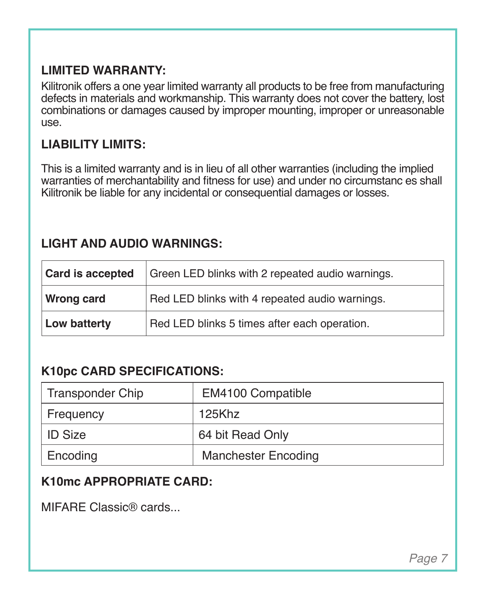### **LIMITED WARRANTY:**

Kilitronik offers a one year limited warranty all products to be free from manufacturing defects in materials and workmanship. This warranty does not cover the battery, lost combinations or damages caused by improper mounting, improper or unreasonable use.

### **LIABILITY LIMITS:**

This is a limited warranty and is in lieu of all other warranties (including the implied warranties of merchantability and fitness for use) and under no circumstanc es shall Kilitronik be liable for any incidental or consequential damages or losses.

### **LIGHT AND AUDIO WARNINGS:**

| Card is accepted  | Green LED blinks with 2 repeated audio warnings. |
|-------------------|--------------------------------------------------|
| <b>Wrong card</b> | Red LED blinks with 4 repeated audio warnings.   |
| Low batterty      | Red LED blinks 5 times after each operation.     |

### **K10pc CARD SPECIFICATIONS:**

| <b>Transponder Chip</b> | EM4100 Compatible          |
|-------------------------|----------------------------|
| Frequency               | 125Khz                     |
| <b>ID Size</b>          | 64 bit Read Only           |
| Encoding                | <b>Manchester Encoding</b> |

### **K10mc APPROPRIATE CARD:**

MIFARE Classic® cards...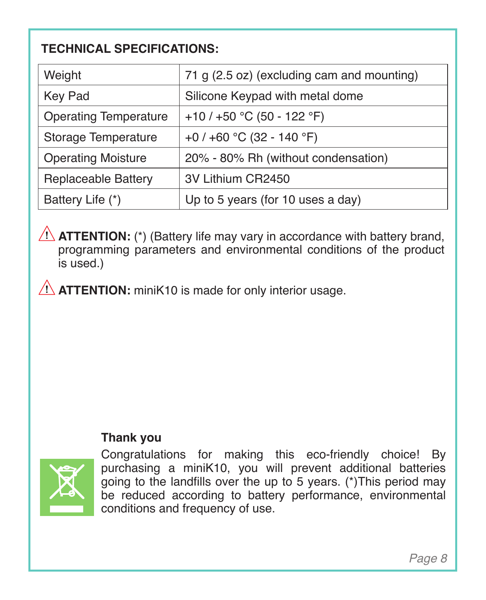### **TECHNICAL SPECIFICATIONS:**

| Weight                       | 71 q (2.5 oz) (excluding cam and mounting) |
|------------------------------|--------------------------------------------|
| Key Pad                      | Silicone Keypad with metal dome            |
| <b>Operating Temperature</b> | +10 / +50 °C (50 - 122 °F)                 |
| Storage Temperature          | +0 / +60 °C (32 - 140 °F)                  |
| <b>Operating Moisture</b>    | 20% - 80% Rh (without condensation)        |
| Replaceable Battery          | 3V Lithium CR2450                          |
| Battery Life (*)             | Up to 5 years (for 10 uses a day)          |

 $\bigwedge$  **ATTENTION:** (\*) (Battery life may vary in accordance with battery brand, programming parameters and environmental conditions of the product is used.)

**ATTENTION:** miniK10 is made for only interior usage.

### **Thank you**



Congratulations for making this eco-friendly choice! By purchasing a miniK10, you will prevent additional batteries going to the landfills over the up to 5 years. (\*)This period may be reduced according to battery performance, environmental conditions and frequency of use.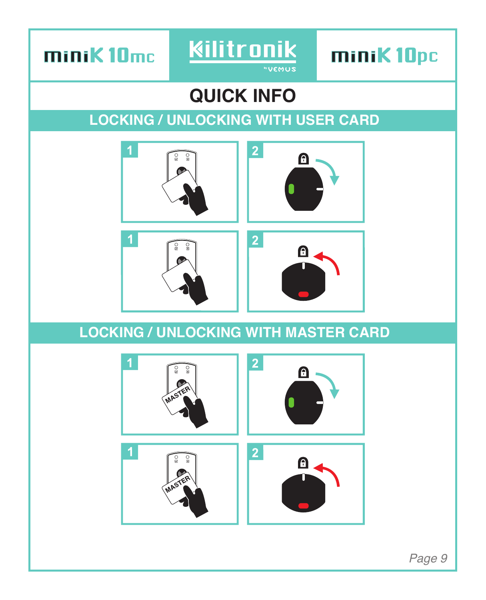minik10mc



miniK10pc

# **QUICK INFO**

# **LOCKING / UNLOCKING WITH USER CARD**



## **LOCKING / UNLOCKING WITH MASTER CARD**



*Page 9*